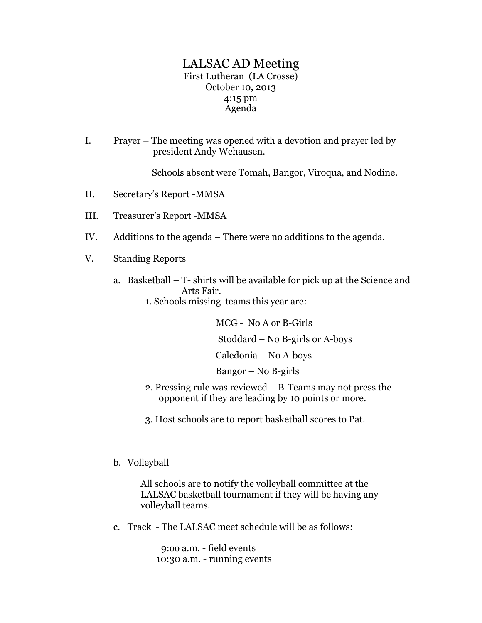## LALSAC AD Meeting First Lutheran (LA Crosse) October 10, 2013 4:15 pm Agenda

I. Prayer – The meeting was opened with a devotion and prayer led by president Andy Wehausen.

Schools absent were Tomah, Bangor, Viroqua, and Nodine.

- II. Secretary's Report -MMSA
- III. Treasurer's Report -MMSA
- IV. Additions to the agenda There were no additions to the agenda.
- V. Standing Reports
	- a. Basketball T- shirts will be available for pick up at the Science and Arts Fair.
		- 1. Schools missing teams this year are:

 MCG - No A or B-Girls Stoddard – No B-girls or A-boys Caledonia – No A-boys

Bangor – No B-girls

- 2. Pressing rule was reviewed B-Teams may not press the opponent if they are leading by 10 points or more.
- 3. Host schools are to report basketball scores to Pat.
- b. Volleyball

 All schools are to notify the volleyball committee at the LALSAC basketball tournament if they will be having any volleyball teams.

c. Track - The LALSAC meet schedule will be as follows:

 9:oo a.m. - field events 10:30 a.m. - running events